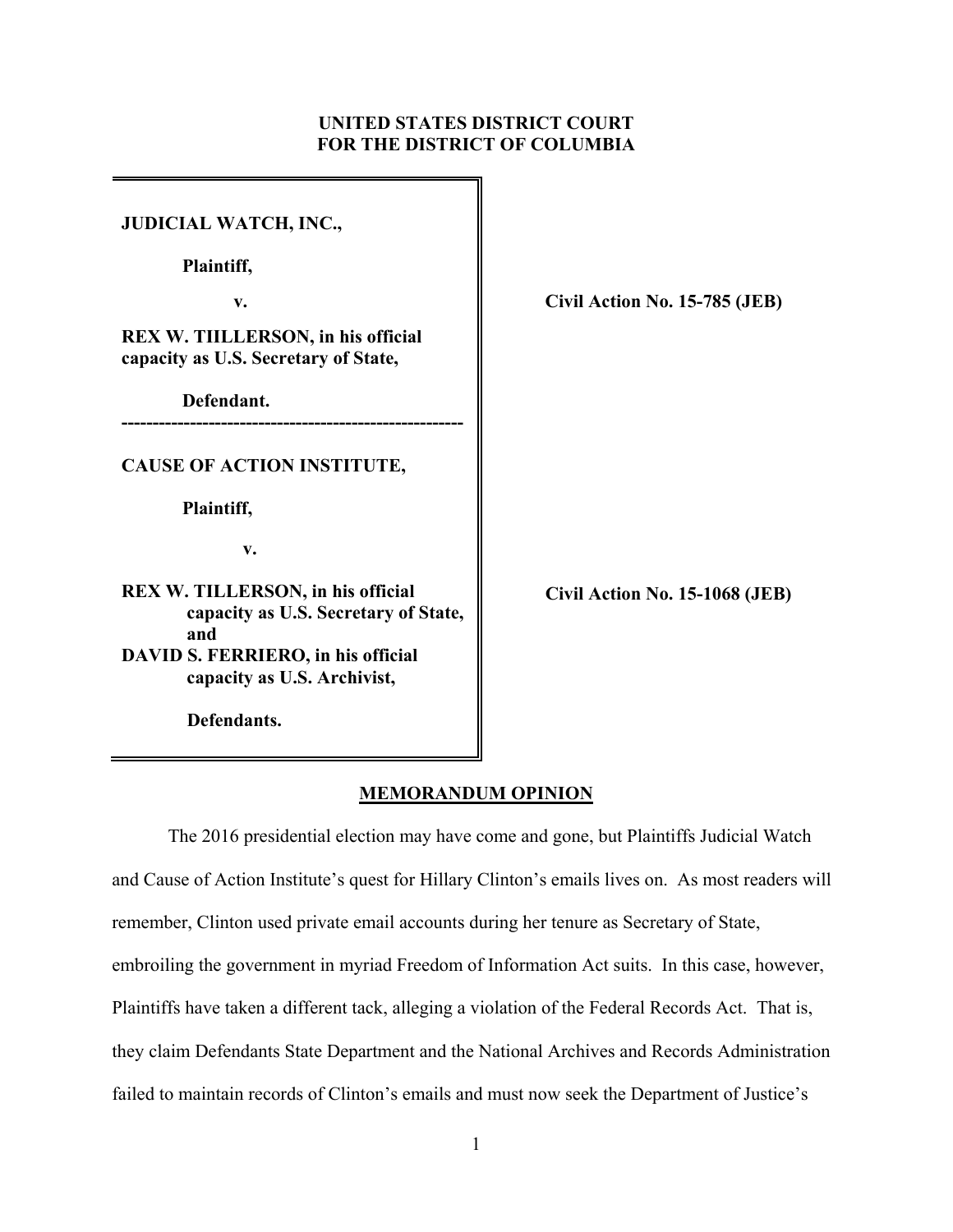# **UNITED STATES DISTRICT COURT FOR THE DISTRICT OF COLUMBIA**

| <b>JUDICIAL WATCH, INC.,</b>                                                            |                                |
|-----------------------------------------------------------------------------------------|--------------------------------|
| Plaintiff,                                                                              |                                |
| v.                                                                                      | Civil Action No. 15-785 (JEB)  |
| REX W. TIILLERSON, in his official<br>capacity as U.S. Secretary of State,              |                                |
| Defendant.                                                                              |                                |
| <b>CAUSE OF ACTION INSTITUTE,</b>                                                       |                                |
| Plaintiff,                                                                              |                                |
| v.                                                                                      |                                |
| <b>REX W. TILLERSON, in his official</b><br>capacity as U.S. Secretary of State,<br>and | Civil Action No. 15-1068 (JEB) |
| DAVID S. FERRIERO, in his official                                                      |                                |
| capacity as U.S. Archivist,                                                             |                                |
| Defendants.                                                                             |                                |

# **MEMORANDUM OPINION**

The 2016 presidential election may have come and gone, but Plaintiffs Judicial Watch and Cause of Action Institute's quest for Hillary Clinton's emails lives on. As most readers will remember, Clinton used private email accounts during her tenure as Secretary of State, embroiling the government in myriad Freedom of Information Act suits. In this case, however, Plaintiffs have taken a different tack, alleging a violation of the Federal Records Act. That is, they claim Defendants State Department and the National Archives and Records Administration failed to maintain records of Clinton's emails and must now seek the Department of Justice's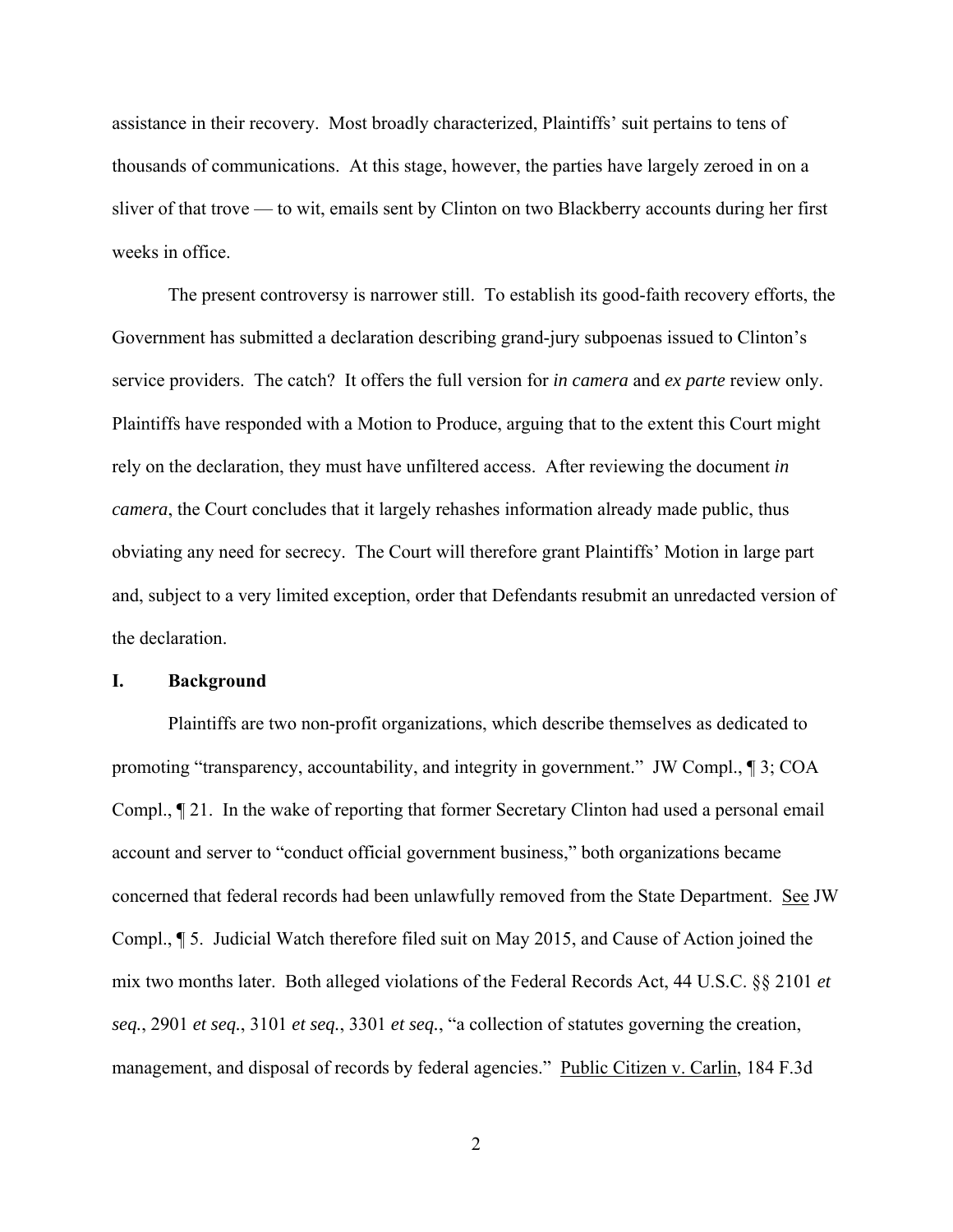assistance in their recovery. Most broadly characterized, Plaintiffs' suit pertains to tens of thousands of communications. At this stage, however, the parties have largely zeroed in on a sliver of that trove — to wit, emails sent by Clinton on two Blackberry accounts during her first weeks in office.

 The present controversy is narrower still. To establish its good-faith recovery efforts, the Government has submitted a declaration describing grand-jury subpoenas issued to Clinton's service providers. The catch? It offers the full version for *in camera* and *ex parte* review only. Plaintiffs have responded with a Motion to Produce, arguing that to the extent this Court might rely on the declaration, they must have unfiltered access. After reviewing the document *in camera*, the Court concludes that it largely rehashes information already made public, thus obviating any need for secrecy. The Court will therefore grant Plaintiffs' Motion in large part and, subject to a very limited exception, order that Defendants resubmit an unredacted version of the declaration.

#### **I. Background**

Plaintiffs are two non-profit organizations, which describe themselves as dedicated to promoting "transparency, accountability, and integrity in government." JW Compl., ¶ 3; COA Compl., ¶ 21. In the wake of reporting that former Secretary Clinton had used a personal email account and server to "conduct official government business," both organizations became concerned that federal records had been unlawfully removed from the State Department. See JW Compl., ¶ 5. Judicial Watch therefore filed suit on May 2015, and Cause of Action joined the mix two months later. Both alleged violations of the Federal Records Act, 44 U.S.C. §§ 2101 *et seq.*, 2901 *et seq.*, 3101 *et seq.*, 3301 *et seq.*, "a collection of statutes governing the creation, management, and disposal of records by federal agencies." Public Citizen v. Carlin, 184 F.3d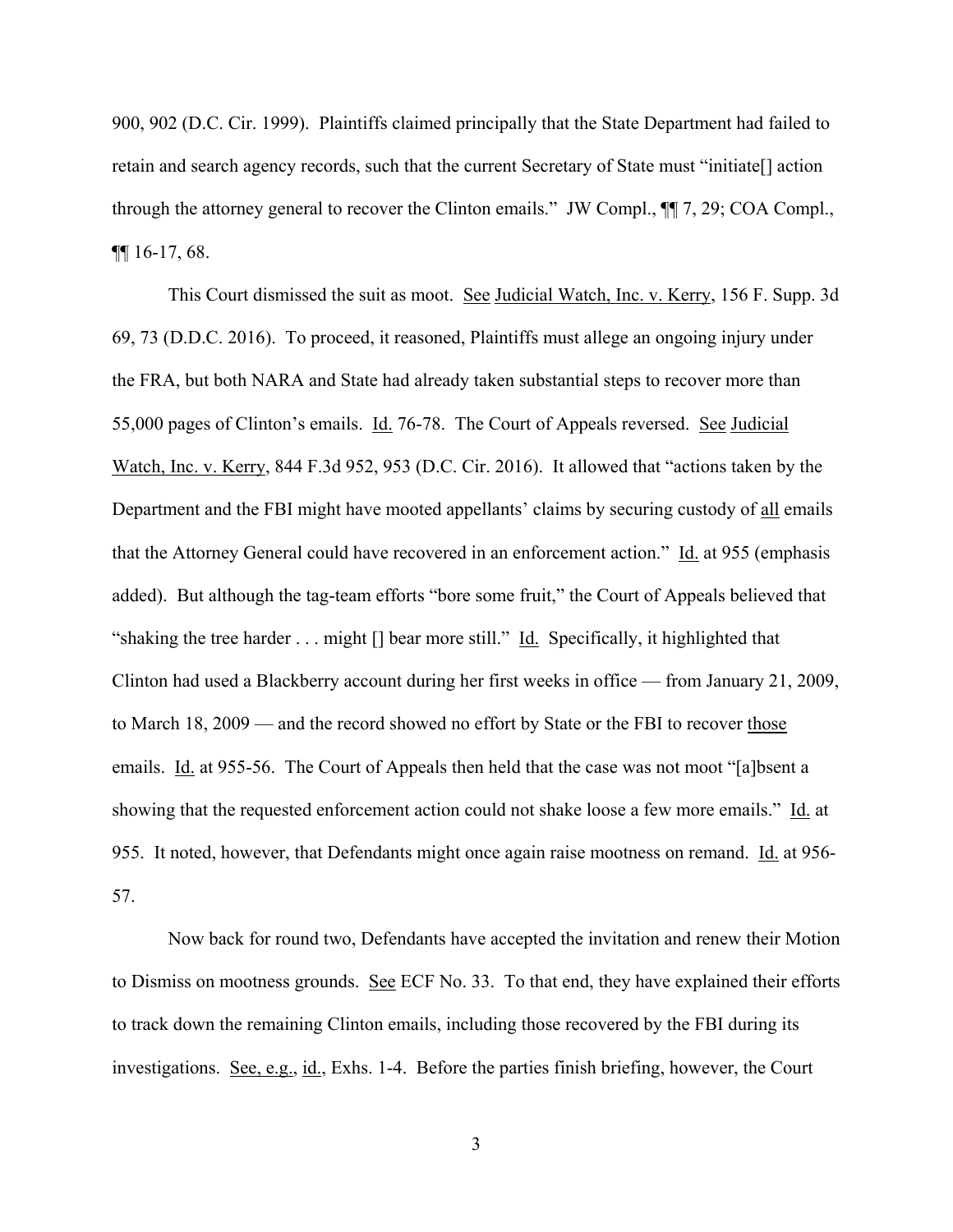900, 902 (D.C. Cir. 1999). Plaintiffs claimed principally that the State Department had failed to retain and search agency records, such that the current Secretary of State must "initiate[] action through the attorney general to recover the Clinton emails." JW Compl., ¶¶ 7, 29; COA Compl., ¶¶ 16-17, 68.

This Court dismissed the suit as moot. See Judicial Watch, Inc. v. Kerry, 156 F. Supp. 3d 69, 73 (D.D.C. 2016). To proceed, it reasoned, Plaintiffs must allege an ongoing injury under the FRA, but both NARA and State had already taken substantial steps to recover more than 55,000 pages of Clinton's emails. Id. 76-78. The Court of Appeals reversed. See Judicial Watch, Inc. v. Kerry, 844 F.3d 952, 953 (D.C. Cir. 2016). It allowed that "actions taken by the Department and the FBI might have mooted appellants' claims by securing custody of all emails that the Attorney General could have recovered in an enforcement action." Id. at 955 (emphasis added). But although the tag-team efforts "bore some fruit," the Court of Appeals believed that "shaking the tree harder . . . might [] bear more still." Id. Specifically, it highlighted that Clinton had used a Blackberry account during her first weeks in office — from January 21, 2009, to March 18, 2009 — and the record showed no effort by State or the FBI to recover those emails. Id. at 955-56. The Court of Appeals then held that the case was not moot "[a]bsent a showing that the requested enforcement action could not shake loose a few more emails." Id. at 955. It noted, however, that Defendants might once again raise mootness on remand. Id. at 956- 57.

Now back for round two, Defendants have accepted the invitation and renew their Motion to Dismiss on mootness grounds. See ECF No. 33. To that end, they have explained their efforts to track down the remaining Clinton emails, including those recovered by the FBI during its investigations. See, e.g., id., Exhs. 1-4. Before the parties finish briefing, however, the Court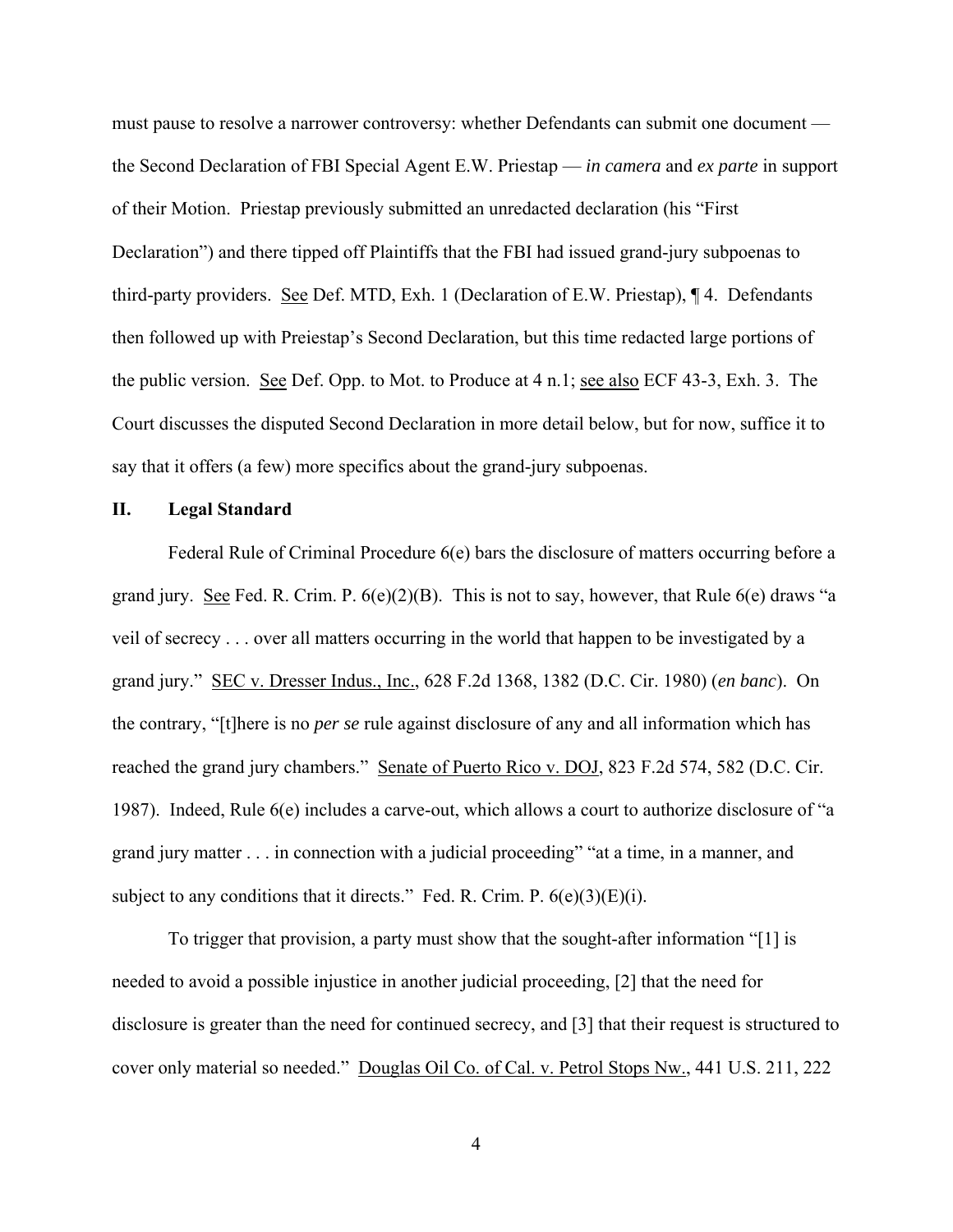must pause to resolve a narrower controversy: whether Defendants can submit one document the Second Declaration of FBI Special Agent E.W. Priestap — *in camera* and *ex parte* in support of their Motion. Priestap previously submitted an unredacted declaration (his "First Declaration") and there tipped off Plaintiffs that the FBI had issued grand-jury subpoenas to third-party providers. See Def. MTD, Exh. 1 (Declaration of E.W. Priestap), ¶ 4. Defendants then followed up with Preiestap's Second Declaration, but this time redacted large portions of the public version. See Def. Opp. to Mot. to Produce at 4 n.1; see also ECF 43-3, Exh. 3. The Court discusses the disputed Second Declaration in more detail below, but for now, suffice it to say that it offers (a few) more specifics about the grand-jury subpoenas.

### **II. Legal Standard**

Federal Rule of Criminal Procedure 6(e) bars the disclosure of matters occurring before a grand jury. See Fed. R. Crim. P.  $6(e)(2)(B)$ . This is not to say, however, that Rule  $6(e)$  draws "a veil of secrecy . . . over all matters occurring in the world that happen to be investigated by a grand jury." SEC v. Dresser Indus., Inc., 628 F.2d 1368, 1382 (D.C. Cir. 1980) (*en banc*). On the contrary, "[t]here is no *per se* rule against disclosure of any and all information which has reached the grand jury chambers." Senate of Puerto Rico v. DOJ, 823 F.2d 574, 582 (D.C. Cir. 1987). Indeed, Rule 6(e) includes a carve-out, which allows a court to authorize disclosure of "a grand jury matter . . . in connection with a judicial proceeding" "at a time, in a manner, and subject to any conditions that it directs." Fed. R. Crim. P.  $6(e)(3)(E)(i)$ .

To trigger that provision, a party must show that the sought-after information "[1] is needed to avoid a possible injustice in another judicial proceeding, [2] that the need for disclosure is greater than the need for continued secrecy, and [3] that their request is structured to cover only material so needed." Douglas Oil Co. of Cal. v. Petrol Stops Nw., 441 U.S. 211, 222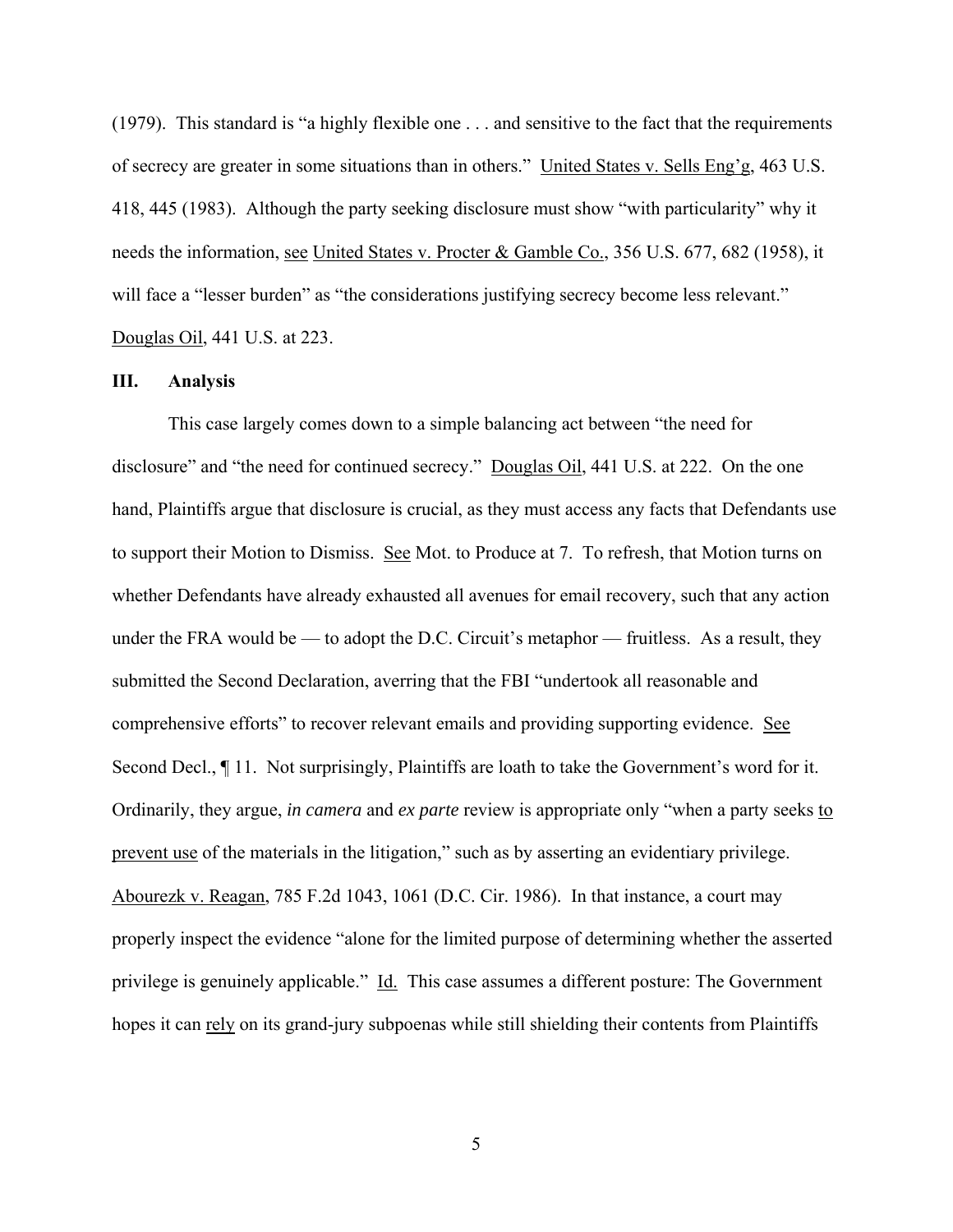(1979). This standard is "a highly flexible one . . . and sensitive to the fact that the requirements of secrecy are greater in some situations than in others." United States v. Sells Eng'g, 463 U.S. 418, 445 (1983). Although the party seeking disclosure must show "with particularity" why it needs the information, see United States v. Procter & Gamble Co., 356 U.S. 677, 682 (1958), it will face a "lesser burden" as "the considerations justifying secrecy become less relevant." Douglas Oil, 441 U.S. at 223.

## **III. Analysis**

This case largely comes down to a simple balancing act between "the need for disclosure" and "the need for continued secrecy." Douglas Oil, 441 U.S. at 222. On the one hand, Plaintiffs argue that disclosure is crucial, as they must access any facts that Defendants use to support their Motion to Dismiss. See Mot. to Produce at 7. To refresh, that Motion turns on whether Defendants have already exhausted all avenues for email recovery, such that any action under the FRA would be — to adopt the D.C. Circuit's metaphor — fruitless. As a result, they submitted the Second Declaration, averring that the FBI "undertook all reasonable and comprehensive efforts" to recover relevant emails and providing supporting evidence. See Second Decl., ¶ 11. Not surprisingly, Plaintiffs are loath to take the Government's word for it. Ordinarily, they argue, *in camera* and *ex parte* review is appropriate only "when a party seeks to prevent use of the materials in the litigation," such as by asserting an evidentiary privilege. Abourezk v. Reagan, 785 F.2d 1043, 1061 (D.C. Cir. 1986). In that instance, a court may properly inspect the evidence "alone for the limited purpose of determining whether the asserted privilege is genuinely applicable." Id. This case assumes a different posture: The Government hopes it can rely on its grand-jury subpoenas while still shielding their contents from Plaintiffs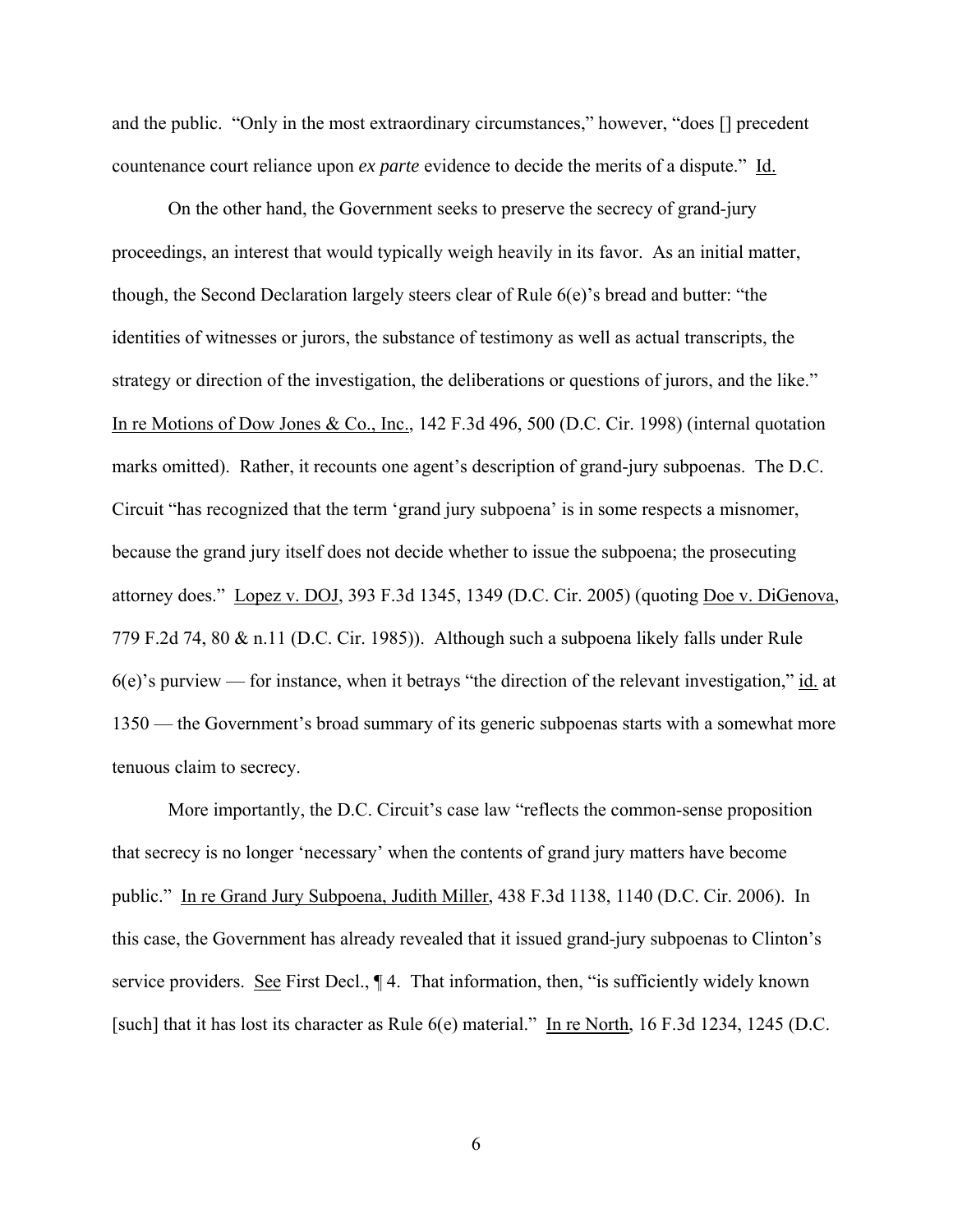and the public. "Only in the most extraordinary circumstances," however, "does [] precedent countenance court reliance upon *ex parte* evidence to decide the merits of a dispute." Id.

On the other hand, the Government seeks to preserve the secrecy of grand-jury proceedings, an interest that would typically weigh heavily in its favor. As an initial matter, though, the Second Declaration largely steers clear of Rule  $6(e)$ 's bread and butter: "the identities of witnesses or jurors, the substance of testimony as well as actual transcripts, the strategy or direction of the investigation, the deliberations or questions of jurors, and the like." In re Motions of Dow Jones & Co., Inc., 142 F.3d 496, 500 (D.C. Cir. 1998) (internal quotation marks omitted). Rather, it recounts one agent's description of grand-jury subpoenas. The D.C. Circuit "has recognized that the term 'grand jury subpoena' is in some respects a misnomer, because the grand jury itself does not decide whether to issue the subpoena; the prosecuting attorney does." Lopez v. DOJ, 393 F.3d 1345, 1349 (D.C. Cir. 2005) (quoting Doe v. DiGenova, 779 F.2d 74, 80 & n.11 (D.C. Cir. 1985)). Although such a subpoena likely falls under Rule 6(e)'s purview — for instance, when it betrays "the direction of the relevant investigation," id. at 1350 — the Government's broad summary of its generic subpoenas starts with a somewhat more tenuous claim to secrecy.

More importantly, the D.C. Circuit's case law "reflects the common-sense proposition that secrecy is no longer 'necessary' when the contents of grand jury matters have become public." In re Grand Jury Subpoena, Judith Miller, 438 F.3d 1138, 1140 (D.C. Cir. 2006). In this case, the Government has already revealed that it issued grand-jury subpoenas to Clinton's service providers. See First Decl.,  $\P$ 4. That information, then, "is sufficiently widely known [such] that it has lost its character as Rule 6(e) material." In re North, 16 F.3d 1234, 1245 (D.C.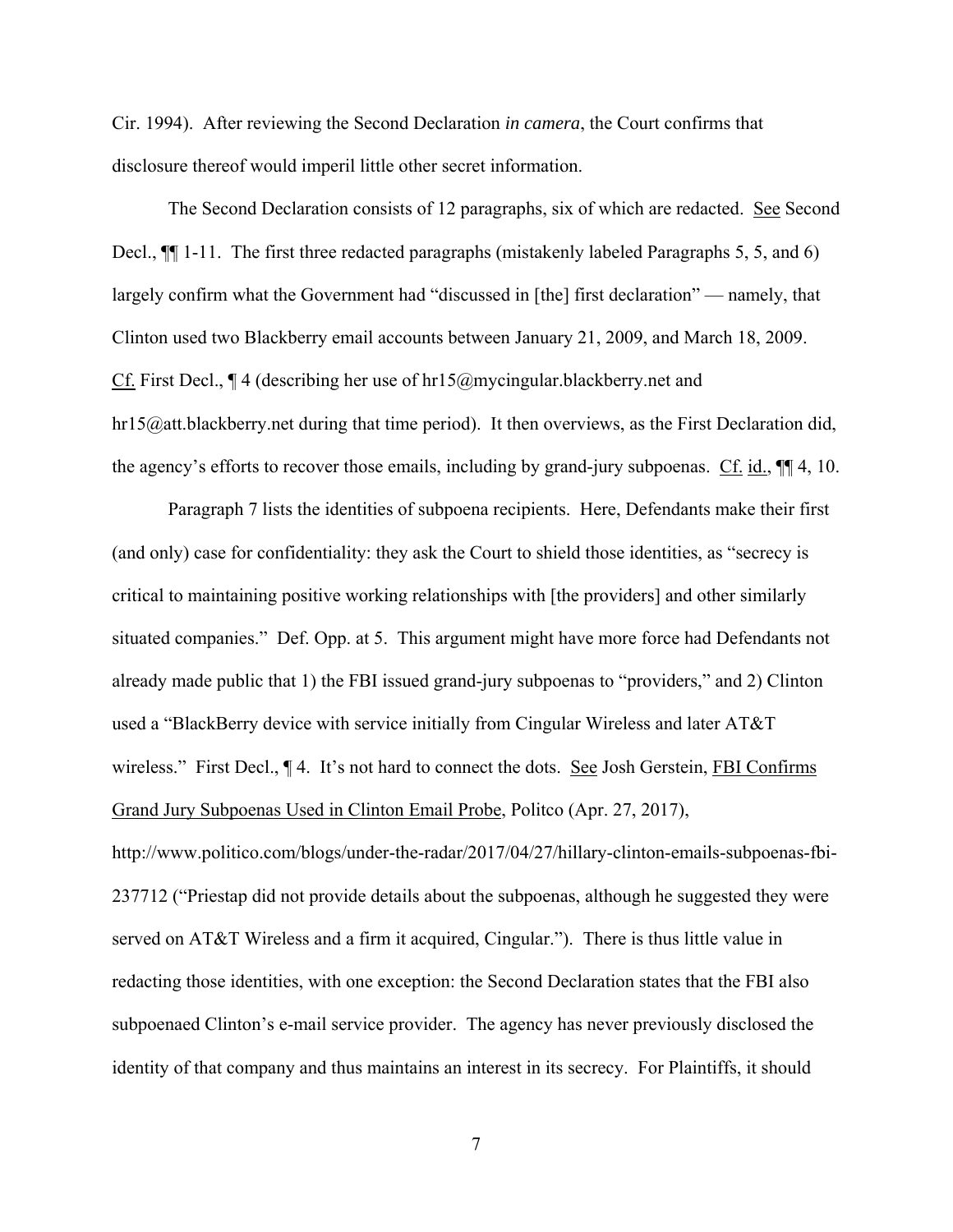Cir. 1994). After reviewing the Second Declaration *in camera*, the Court confirms that disclosure thereof would imperil little other secret information.

The Second Declaration consists of 12 paragraphs, six of which are redacted. See Second Decl.,  $\P$ [1-11. The first three redacted paragraphs (mistakenly labeled Paragraphs 5, 5, and 6) largely confirm what the Government had "discussed in [the] first declaration" — namely, that Clinton used two Blackberry email accounts between January 21, 2009, and March 18, 2009. Cf. First Decl., ¶ 4 (describing her use of hr15@mycingular.blackberry.net and hr15@att.blackberry.net during that time period). It then overviews, as the First Declaration did, the agency's efforts to recover those emails, including by grand-jury subpoenas. Cf. id., ¶¶ 4, 10.

Paragraph 7 lists the identities of subpoena recipients. Here, Defendants make their first (and only) case for confidentiality: they ask the Court to shield those identities, as "secrecy is critical to maintaining positive working relationships with [the providers] and other similarly situated companies." Def. Opp. at 5. This argument might have more force had Defendants not already made public that 1) the FBI issued grand-jury subpoenas to "providers," and 2) Clinton used a "BlackBerry device with service initially from Cingular Wireless and later AT&T wireless." First Decl.,  $\P$ 4. It's not hard to connect the dots. See Josh Gerstein, FBI Confirms Grand Jury Subpoenas Used in Clinton Email Probe, Politco (Apr. 27, 2017),

http://www.politico.com/blogs/under-the-radar/2017/04/27/hillary-clinton-emails-subpoenas-fbi-237712 ("Priestap did not provide details about the subpoenas, although he suggested they were served on AT&T Wireless and a firm it acquired, Cingular."). There is thus little value in redacting those identities, with one exception: the Second Declaration states that the FBI also subpoenaed Clinton's e-mail service provider. The agency has never previously disclosed the identity of that company and thus maintains an interest in its secrecy. For Plaintiffs, it should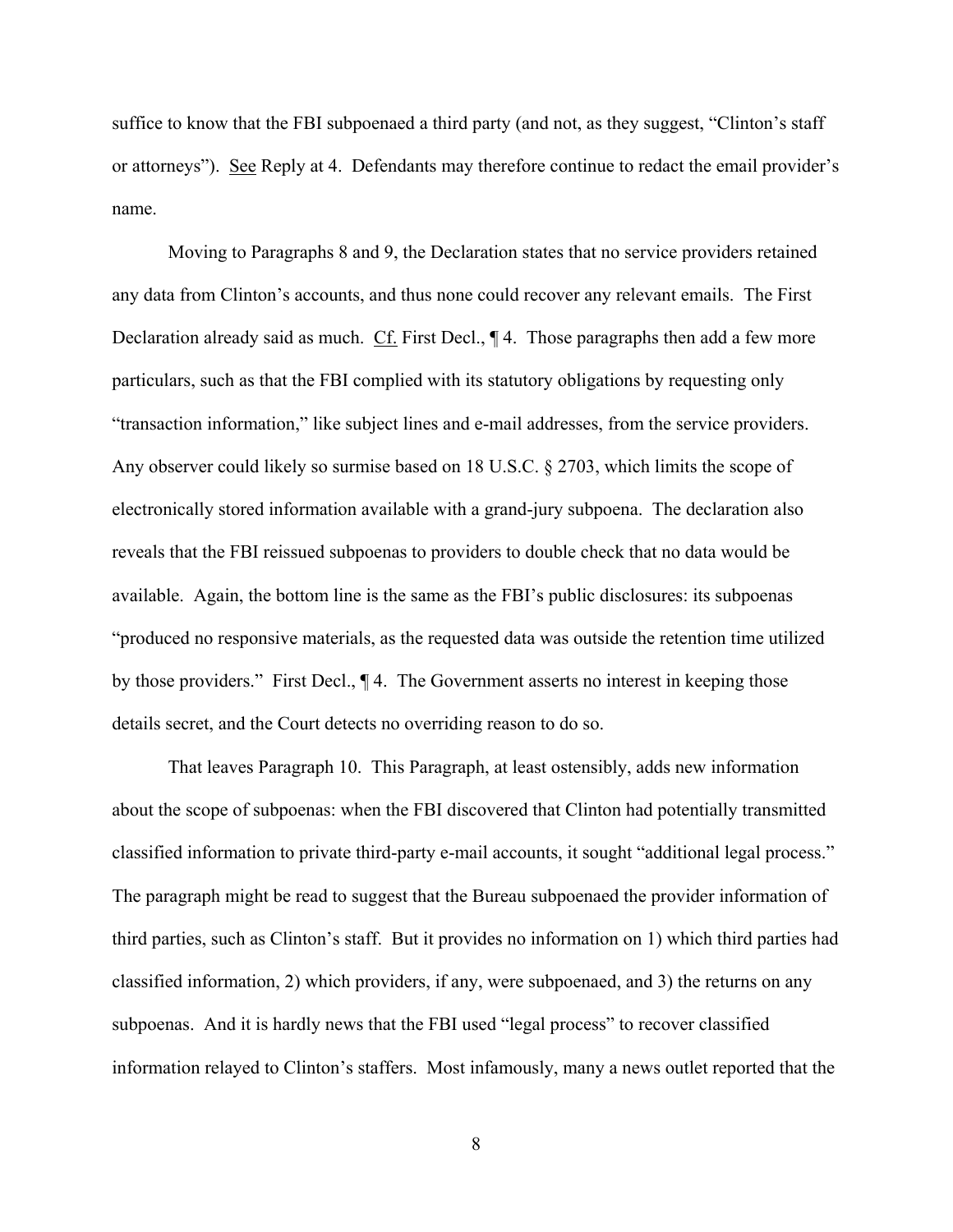suffice to know that the FBI subpoenaed a third party (and not, as they suggest, "Clinton's staff or attorneys"). See Reply at 4. Defendants may therefore continue to redact the email provider's name.

Moving to Paragraphs 8 and 9, the Declaration states that no service providers retained any data from Clinton's accounts, and thus none could recover any relevant emails. The First Declaration already said as much. Cf. First Decl., ¶ 4. Those paragraphs then add a few more particulars, such as that the FBI complied with its statutory obligations by requesting only "transaction information," like subject lines and e-mail addresses, from the service providers. Any observer could likely so surmise based on 18 U.S.C. § 2703, which limits the scope of electronically stored information available with a grand-jury subpoena. The declaration also reveals that the FBI reissued subpoenas to providers to double check that no data would be available. Again, the bottom line is the same as the FBI's public disclosures: its subpoenas "produced no responsive materials, as the requested data was outside the retention time utilized by those providers." First Decl., ¶ 4. The Government asserts no interest in keeping those details secret, and the Court detects no overriding reason to do so.

That leaves Paragraph 10. This Paragraph, at least ostensibly, adds new information about the scope of subpoenas: when the FBI discovered that Clinton had potentially transmitted classified information to private third-party e-mail accounts, it sought "additional legal process." The paragraph might be read to suggest that the Bureau subpoenaed the provider information of third parties, such as Clinton's staff. But it provides no information on 1) which third parties had classified information, 2) which providers, if any, were subpoenaed, and 3) the returns on any subpoenas. And it is hardly news that the FBI used "legal process" to recover classified information relayed to Clinton's staffers. Most infamously, many a news outlet reported that the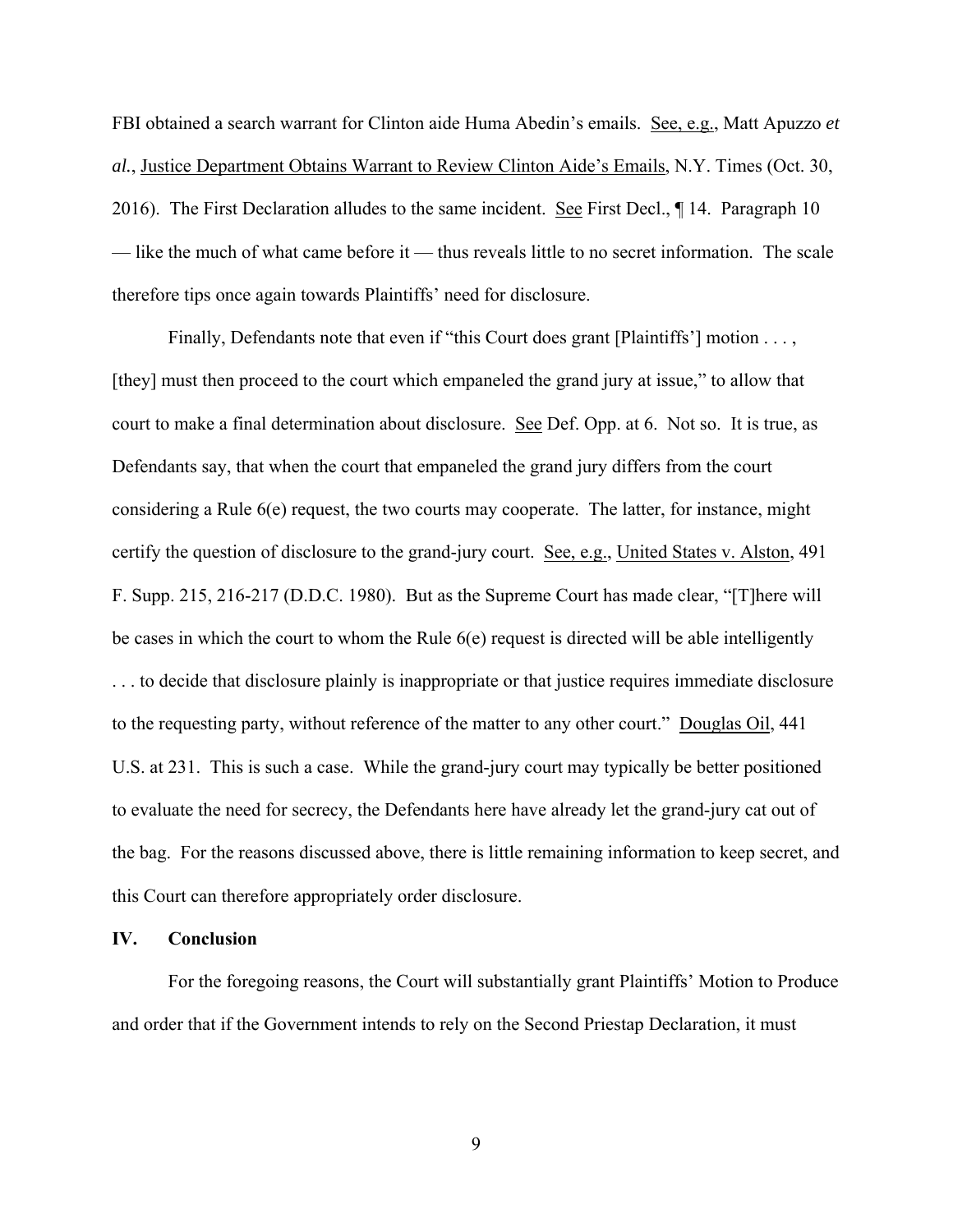FBI obtained a search warrant for Clinton aide Huma Abedin's emails. See, e.g., Matt Apuzzo *et al.*, Justice Department Obtains Warrant to Review Clinton Aide's Emails, N.Y. Times (Oct. 30, 2016). The First Declaration alludes to the same incident. See First Decl., 14. Paragraph 10 — like the much of what came before it — thus reveals little to no secret information. The scale therefore tips once again towards Plaintiffs' need for disclosure.

Finally, Defendants note that even if "this Court does grant [Plaintiffs'] motion . . . , [they] must then proceed to the court which empaneled the grand jury at issue," to allow that court to make a final determination about disclosure. See Def. Opp. at 6. Not so. It is true, as Defendants say, that when the court that empaneled the grand jury differs from the court considering a Rule 6(e) request, the two courts may cooperate. The latter, for instance, might certify the question of disclosure to the grand-jury court. See, e.g., United States v. Alston, 491 F. Supp. 215, 216-217 (D.D.C. 1980). But as the Supreme Court has made clear, "[T]here will be cases in which the court to whom the Rule 6(e) request is directed will be able intelligently . . . to decide that disclosure plainly is inappropriate or that justice requires immediate disclosure to the requesting party, without reference of the matter to any other court." Douglas Oil, 441 U.S. at 231. This is such a case. While the grand-jury court may typically be better positioned to evaluate the need for secrecy, the Defendants here have already let the grand-jury cat out of the bag. For the reasons discussed above, there is little remaining information to keep secret, and this Court can therefore appropriately order disclosure.

## **IV. Conclusion**

For the foregoing reasons, the Court will substantially grant Plaintiffs' Motion to Produce and order that if the Government intends to rely on the Second Priestap Declaration, it must